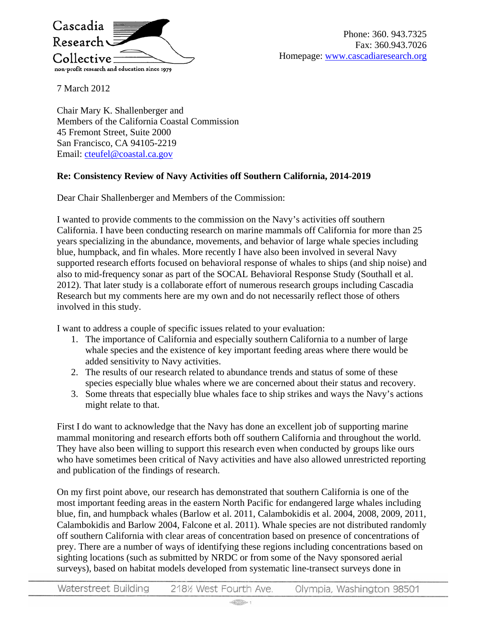

Phone: 360. 943.7325 Fax: 360.943.7026 Homepage: [www.cascadiaresearch.org](http://www.cascadiaresearch.org/)

7 March 2012

Chair Mary K. Shallenberger and Members of the California Coastal Commission 45 Fremont Street, Suite 2000 San Francisco, CA 94105-2219 Email: [cteufel@coastal.ca.gov](mailto:cteufel@coastal.ca.gov)

## **Re: Consistency Review of Navy Activities off Southern California, 2014-2019**

Dear Chair Shallenberger and Members of the Commission:

I wanted to provide comments to the commission on the Navy's activities off southern California. I have been conducting research on marine mammals off California for more than 25 years specializing in the abundance, movements, and behavior of large whale species including blue, humpback, and fin whales. More recently I have also been involved in several Navy supported research efforts focused on behavioral response of whales to ships (and ship noise) and also to mid-frequency sonar as part of the SOCAL Behavioral Response Study (Southall et al. 2012). That later study is a collaborate effort of numerous research groups including Cascadia Research but my comments here are my own and do not necessarily reflect those of others involved in this study.

I want to address a couple of specific issues related to your evaluation:

- 1. The importance of California and especially southern California to a number of large whale species and the existence of key important feeding areas where there would be added sensitivity to Navy activities.
- 2. The results of our research related to abundance trends and status of some of these species especially blue whales where we are concerned about their status and recovery.
- 3. Some threats that especially blue whales face to ship strikes and ways the Navy's actions might relate to that.

First I do want to acknowledge that the Navy has done an excellent job of supporting marine mammal monitoring and research efforts both off southern California and throughout the world. They have also been willing to support this research even when conducted by groups like ours who have sometimes been critical of Navy activities and have also allowed unrestricted reporting and publication of the findings of research.

On my first point above, our research has demonstrated that southern California is one of the most important feeding areas in the eastern North Pacific for endangered large whales including blue, fin, and humpback whales (Barlow et al. 2011, Calambokidis et al. 2004, 2008, 2009, 2011, Calambokidis and Barlow 2004, Falcone et al. 2011). Whale species are not distributed randomly off southern California with clear areas of concentration based on presence of concentrations of prey. There are a number of ways of identifying these regions including concentrations based on sighting locations (such as submitted by NRDC or from some of the Navy sponsored aerial surveys), based on habitat models developed from systematic line-transect surveys done in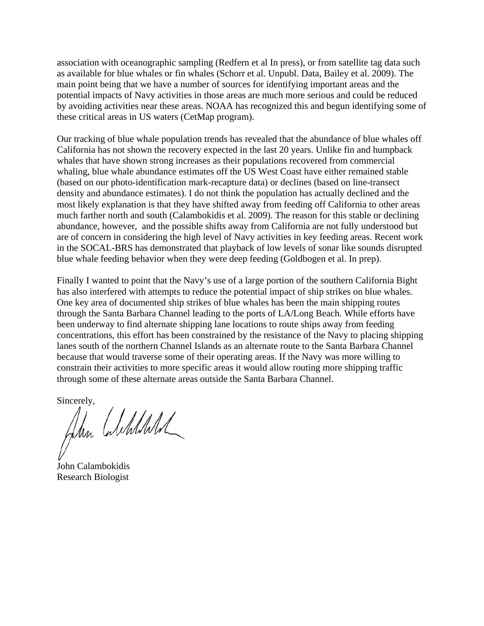association with oceanographic sampling (Redfern et al In press), or from satellite tag data such as available for blue whales or fin whales (Schorr et al. Unpubl. Data, Bailey et al. 2009). The main point being that we have a number of sources for identifying important areas and the potential impacts of Navy activities in those areas are much more serious and could be reduced by avoiding activities near these areas. NOAA has recognized this and begun identifying some of these critical areas in US waters (CetMap program).

Our tracking of blue whale population trends has revealed that the abundance of blue whales off California has not shown the recovery expected in the last 20 years. Unlike fin and humpback whales that have shown strong increases as their populations recovered from commercial whaling, blue whale abundance estimates off the US West Coast have either remained stable (based on our photo-identification mark-recapture data) or declines (based on line-transect density and abundance estimates). I do not think the population has actually declined and the most likely explanation is that they have shifted away from feeding off California to other areas much farther north and south (Calambokidis et al. 2009). The reason for this stable or declining abundance, however, and the possible shifts away from California are not fully understood but are of concern in considering the high level of Navy activities in key feeding areas. Recent work in the SOCAL-BRS has demonstrated that playback of low levels of sonar like sounds disrupted blue whale feeding behavior when they were deep feeding (Goldbogen et al. In prep).

Finally I wanted to point that the Navy's use of a large portion of the southern California Bight has also interfered with attempts to reduce the potential impact of ship strikes on blue whales. One key area of documented ship strikes of blue whales has been the main shipping routes through the Santa Barbara Channel leading to the ports of LA/Long Beach. While efforts have been underway to find alternate shipping lane locations to route ships away from feeding concentrations, this effort has been constrained by the resistance of the Navy to placing shipping lanes south of the northern Channel Islands as an alternate route to the Santa Barbara Channel because that would traverse some of their operating areas. If the Navy was more willing to constrain their activities to more specific areas it would allow routing more shipping traffic through some of these alternate areas outside the Santa Barbara Channel.

Sincerely,

Jun Culchlald

John Calambokidis Research Biologist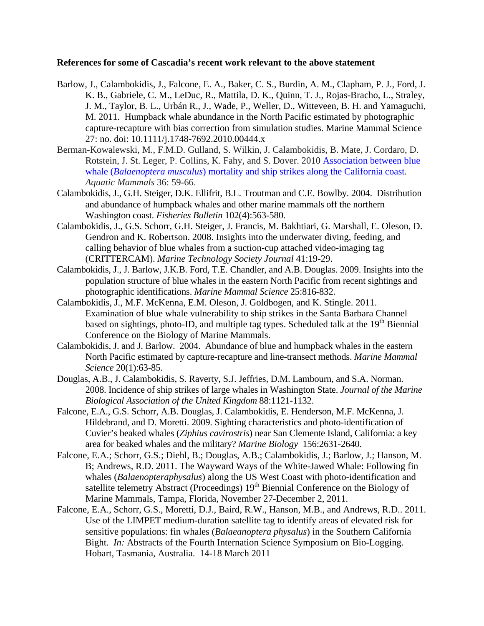## **References for some of Cascadia's recent work relevant to the above statement**

- Barlow, J., Calambokidis, J., Falcone, E. A., Baker, C. S., Burdin, A. M., Clapham, P. J., Ford, J. K. B., Gabriele, C. M., LeDuc, R., Mattila, D. K., Quinn, T. J., Rojas-Bracho, L., Straley, J. M., Taylor, B. L., Urbán R., J., Wade, P., Weller, D., Witteveen, B. H. and Yamaguchi, M. 2011. Humpback whale abundance in the North Pacific estimated by photographic capture-recapture with bias correction from simulation studies. Marine Mammal Science 27: no. doi: 10.1111/j.1748-7692.2010.00444.x
- Berman-Kowalewski, M., F.M.D. Gulland, S. Wilkin, J. Calambokidis, B. Mate, J. Cordaro, D. Rotstein, J. St. Leger, P. Collins, K. Fahy, and S. Dover. 2010 [Association between blue](http://www.cascadiaresearch.org/reports/Berman-Kowalewski%20%20blue%20whale.pdf)  whale (*Balaenoptera musculus*[\) mortality and ship strikes along the California coast.](http://www.cascadiaresearch.org/reports/Berman-Kowalewski%20%20blue%20whale.pdf) *Aquatic Mammals* 36: 59-66.
- Calambokidis, J., G.H. Steiger, D.K. Ellifrit, B.L. Troutman and C.E. Bowlby. 2004. Distribution and abundance of humpback whales and other marine mammals off the northern Washington coast. *Fisheries Bulletin* 102(4):563-580.
- Calambokidis, J., G.S. Schorr, G.H. Steiger, J. Francis, M. Bakhtiari, G. Marshall, E. Oleson, D. Gendron and K. Robertson. 2008. Insights into the underwater diving, feeding, and calling behavior of blue whales from a suction-cup attached video-imaging tag (CRITTERCAM). *Marine Technology Society Journal* 41:19-29.
- Calambokidis, J., J. Barlow, J.K.B. Ford, T.E. Chandler, and A.B. Douglas. 2009. Insights into the population structure of blue whales in the eastern North Pacific from recent sightings and photographic identifications. *Marine Mammal Science* 25:816-832.
- Calambokidis, J., M.F. McKenna, E.M. Oleson, J. Goldbogen, and K. Stingle. 2011. Examination of blue whale vulnerability to ship strikes in the Santa Barbara Channel based on sightings, photo-ID, and multiple tag types. Scheduled talk at the  $19<sup>th</sup>$  Biennial Conference on the Biology of Marine Mammals.
- Calambokidis, J. and J. Barlow. 2004. Abundance of blue and humpback whales in the eastern North Pacific estimated by capture-recapture and line-transect methods. *Marine Mammal Science* 20(1):63-85.
- Douglas, A.B., J. Calambokidis, S. Raverty, S.J. Jeffries, D.M. Lambourn, and S.A. Norman. 2008. Incidence of ship strikes of large whales in Washington State. *Journal of the Marine Biological Association of the United Kingdom* 88:1121-1132.
- Falcone, E.A., G.S. Schorr, A.B. Douglas, J. Calambokidis, E. Henderson, M.F. McKenna, J. Hildebrand, and D. Moretti. 2009. Sighting characteristics and photo-identification of Cuvier's beaked whales (*Ziphius cavirostris*) near San Clemente Island, California: a key area for beaked whales and the military? *Marine Biology* 156:2631-2640.
- Falcone, E.A.; Schorr, G.S.; Diehl, B.; Douglas, A.B.; Calambokidis, J.; Barlow, J.; Hanson, M. B; Andrews, R.D. 2011. The Wayward Ways of the White-Jawed Whale: Following fin whales (*Balaenopteraphysalus*) along the US West Coast with photo-identification and satellite telemetry Abstract (Proceedings) 19<sup>th</sup> Biennial Conference on the Biology of Marine Mammals, Tampa, Florida, November 27-December 2, 2011.
- Falcone, E.A., Schorr, G.S., Moretti, D.J., Baird, R.W., Hanson, M.B., and Andrews, R.D.. 2011. Use of the LIMPET medium-duration satellite tag to identify areas of elevated risk for sensitive populations: fin whales (*Balaeanoptera physalus*) in the Southern California Bight. *In:* Abstracts of the Fourth Internation Science Symposium on Bio-Logging. Hobart, Tasmania, Australia. 14-18 March 2011